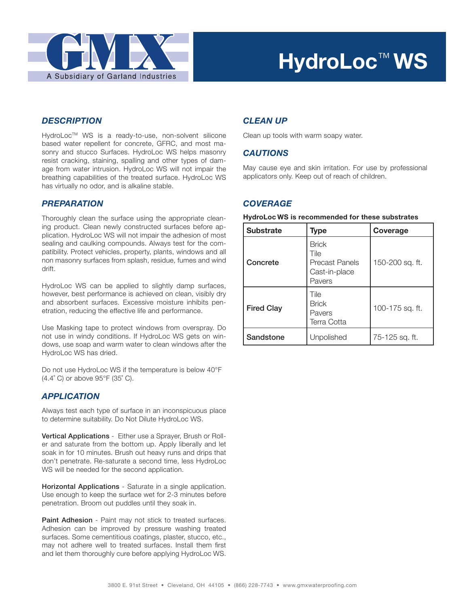

## **HydroLoc**™ **WS**

#### *DESCRIPTION*

HydroLoc™ WS is a ready-to-use, non-solvent silicone based water repellent for concrete, GFRC, and most masonry and stucco Surfaces. HydroLoc WS helps masonry resist cracking, staining, spalling and other types of damage from water intrusion. HydroLoc WS will not impair the breathing capabilities of the treated surface. HydroLoc WS has virtually no odor, and is alkaline stable.

#### *PREPARATION*

Thoroughly clean the surface using the appropriate cleaning product. Clean newly constructed surfaces before application. HydroLoc WS will not impair the adhesion of most sealing and caulking compounds. Always test for the compatibility. Protect vehicles, property, plants, windows and all non masonry surfaces from splash, residue, fumes and wind drift.

HydroLoc WS can be applied to slightly damp surfaces, however, best performance is achieved on clean, visibly dry and absorbent surfaces. Excessive moisture inhibits penetration, reducing the effective life and performance.

Use Masking tape to protect windows from overspray. Do not use in windy conditions. If HydroLoc WS gets on windows, use soap and warm water to clean windows after the HydroLoc WS has dried.

Do not use HydroLoc WS if the temperature is below 40°F (4.4˚ C) or above 95°F (35˚ C).

#### *APPLICATION*

Always test each type of surface in an inconspicuous place to determine suitability. Do Not Dilute HydroLoc WS.

Vertical Applications - Either use a Sprayer, Brush or Roller and saturate from the bottom up. Apply liberally and let soak in for 10 minutes. Brush out heavy runs and drips that don't penetrate. Re-saturate a second time, less HydroLoc WS will be needed for the second application.

Horizontal Applications - Saturate in a single application. Use enough to keep the surface wet for 2-3 minutes before penetration. Broom out puddles until they soak in.

Paint Adhesion - Paint may not stick to treated surfaces. Adhesion can be improved by pressure washing treated surfaces. Some cementitious coatings, plaster, stucco, etc., may not adhere well to treated surfaces. Install them first and let them thoroughly cure before applying HydroLoc WS.

#### *CLEAN UP*

Clean up tools with warm soapy water.

#### *CAUTIONS*

May cause eye and skin irritation. For use by professional applicators only. Keep out of reach of children.

#### *COVERAGE*

#### **HydroLoc WS is recommended for these substrates**

| <b>Substrate</b>  | <b>Type</b>                                                              | Coverage        |
|-------------------|--------------------------------------------------------------------------|-----------------|
| Concrete          | <b>Brick</b><br>Tile<br><b>Precast Panels</b><br>Cast-in-place<br>Pavers | 150-200 sq. ft. |
| <b>Fired Clay</b> | Tile<br><b>Brick</b><br>Pavers<br><b>Terra Cotta</b>                     | 100-175 sq. ft. |
| Sandstone         | Unpolished                                                               | 75-125 sq. ft.  |